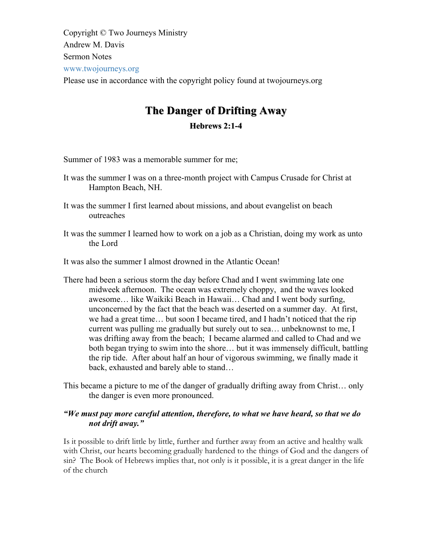Copyright © Two Journeys Ministry Andrew M. Davis Sermon Notes www.twojourneys.org Please use in accordance with the copyright policy found at twojourneys.org

# **The Danger of Drifting Away The Danger of Drifting Away Hebrews 2:1 2:1-4**

Summer of 1983 was a memorable summer for me;

- It was the summer I was on a three-month project with Campus Crusade for Christ at Hampton Beach, NH.
- It was the summer I first learned about missions, and about evangelist on beach outreaches
- It was the summer I learned how to work on a job as a Christian, doing my work as unto the Lord

It was also the summer I almost drowned in the Atlantic Ocean!

- There had been a serious storm the day before Chad and I went swimming late one midweek afternoon. The ocean was extremely choppy, and the waves looked awesome… like Waikiki Beach in Hawaii… Chad and I went body surfing, unconcerned by the fact that the beach was deserted on a summer day. At first, we had a great time… but soon I became tired, and I hadn't noticed that the rip current was pulling me gradually but surely out to sea… unbeknownst to me, I was drifting away from the beach; I became alarmed and called to Chad and we both began trying to swim into the shore… but it was immensely difficult, battling the rip tide. After about half an hour of vigorous swimming, we finally made it back, exhausted and barely able to stand…
- This became a picture to me of the danger of gradually drifting away from Christ… only the danger is even more pronounced.

# *"We must pay more careful attention, therefore, to what we have heard, so that we do not drift away."*

Is it possible to drift little by little, further and further away from an active and healthy walk with Christ, our hearts becoming gradually hardened to the things of God and the dangers of sin? The Book of Hebrews implies that, not only is it possible, it is a great danger in the life of the church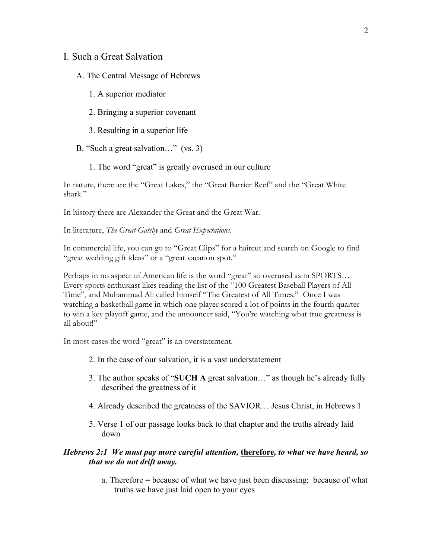#### I. Such a Great Salvation

#### A. The Central Message of Hebrews

- 1. A superior mediator
- 2. Bringing a superior covenant
- 3. Resulting in a superior life
- B. "Such a great salvation…" (vs. 3)
	- 1. The word "great" is greatly overused in our culture

In nature, there are the "Great Lakes," the "Great Barrier Reef" and the "Great White shark."

In history there are Alexander the Great and the Great War.

In literature, *The Great Gatsby* and *Great Expectations*.

In commercial life, you can go to "Great Clips" for a haircut and search on Google to find "great wedding gift ideas" or a "great vacation spot."

Perhaps in no aspect of American life is the word "great" so overused as in SPORTS… Every sports enthusiast likes reading the list of the "100 Greatest Baseball Players of All Time", and Muhammad Ali called himself "The Greatest of All Times." Once I was watching a basketball game in which one player scored a lot of points in the fourth quarter to win a key playoff game, and the announcer said, "You're watching what true greatness is all about!"

In most cases the word "great" is an overstatement.

- 2. In the case of our salvation, it is a vast understatement
- 3. The author speaks of "**SUCH A** great salvation…" as though he's already fully described the greatness of it
- 4. Already described the greatness of the SAVIOR… Jesus Christ, in Hebrews 1
- 5. Verse 1 of our passage looks back to that chapter and the truths already laid down

#### *Hebrews 2:1 We must pay more careful attention,* **therefore***, to what we have heard, so that we do not drift away.*

a. Therefore = because of what we have just been discussing; because of what truths we have just laid open to your eyes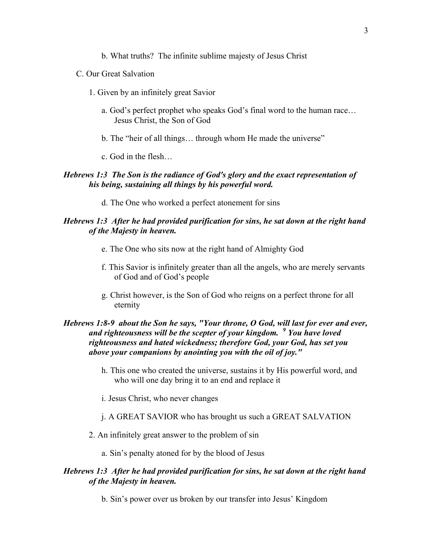- b. What truths? The infinite sublime majesty of Jesus Christ
- C. Our Great Salvation
	- 1. Given by an infinitely great Savior
		- a. God's perfect prophet who speaks God's final word to the human race… Jesus Christ, the Son of God
		- b. The "heir of all things… through whom He made the universe"
		- c. God in the flesh…

### *Hebrews 1:3 The Son is the radiance of God's glory and the exact representation of his being, sustaining all things by his powerful word.*

d. The One who worked a perfect atonement for sins

#### *Hebrews 1:3 After he had provided purification for sins, he sat down at the right hand of the Majesty in heaven.*

- e. The One who sits now at the right hand of Almighty God
- f. This Savior is infinitely greater than all the angels, who are merely servants of God and of God's people
- g. Christ however, is the Son of God who reigns on a perfect throne for all eternity

# *Hebrews 1:8-9 about the Son he says, "Your throne, O God, will last for ever and ever, and righteousness will be the scepter of your kingdom. <sup>9</sup> You have loved righteousness and hated wickedness; therefore God, your God, has set you above your companions by anointing you with the oil of joy."*

- h. This one who created the universe, sustains it by His powerful word, and who will one day bring it to an end and replace it
- i. Jesus Christ, who never changes
- j. A GREAT SAVIOR who has brought us such a GREAT SALVATION
- 2. An infinitely great answer to the problem of sin
	- a. Sin's penalty atoned for by the blood of Jesus

### *Hebrews 1:3 After he had provided purification for sins, he sat down at the right hand of the Majesty in heaven.*

b. Sin's power over us broken by our transfer into Jesus' Kingdom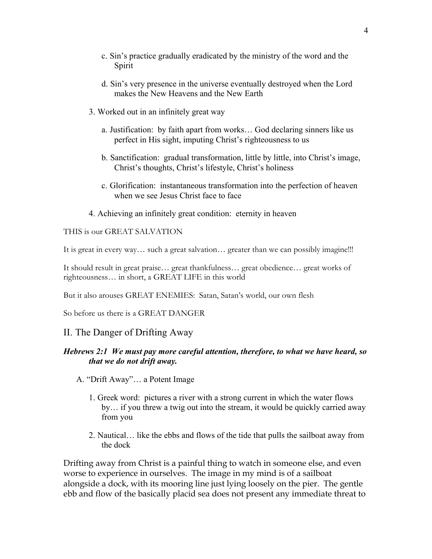- c. Sin's practice gradually eradicated by the ministry of the word and the Spirit
- d. Sin's very presence in the universe eventually destroyed when the Lord makes the New Heavens and the New Earth
- 3. Worked out in an infinitely great way
	- a. Justification: by faith apart from works… God declaring sinners like us perfect in His sight, imputing Christ's righteousness to us
	- b. Sanctification: gradual transformation, little by little, into Christ's image, Christ's thoughts, Christ's lifestyle, Christ's holiness
	- c. Glorification: instantaneous transformation into the perfection of heaven when we see Jesus Christ face to face
- 4. Achieving an infinitely great condition: eternity in heaven

THIS is our GREAT SALVATION

It is great in every way... such a great salvation... greater than we can possibly imagine!!!

It should result in great praise… great thankfulness… great obedience… great works of righteousness… in short, a GREAT LIFE in this world

But it also arouses GREAT ENEMIES: Satan, Satan's world, our own flesh

So before us there is a GREAT DANGER

# II. The Danger of Drifting Away

# *Hebrews 2:1 We must pay more careful attention, therefore, to what we have heard, so that we do not drift away.*

- A. "Drift Away"… a Potent Image
	- 1. Greek word: pictures a river with a strong current in which the water flows by… if you threw a twig out into the stream, it would be quickly carried away from you
	- 2. Nautical… like the ebbs and flows of the tide that pulls the sailboat away from the dock

Drifting away from Christ is a painful thing to watch in someone else, and even worse to experience in ourselves. The image in my mind is of a sailboat alongside a dock, with its mooring line just lying loosely on the pier. The gentle ebb and flow of the basically placid sea does not present any immediate threat to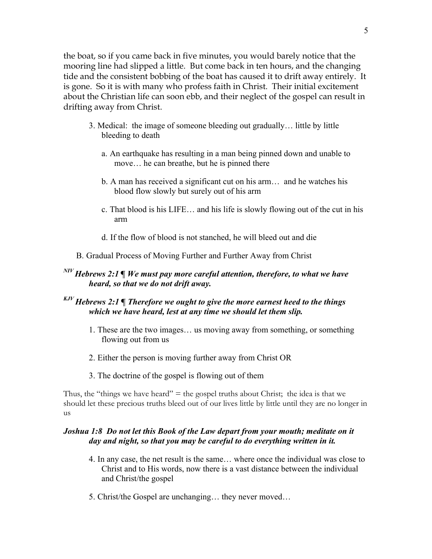the boat, so if you came back in five minutes, you would barely notice that the mooring line had slipped a little. But come back in ten hours, and the changing tide and the consistent bobbing of the boat has caused it to drift away entirely. It is gone. So it is with many who profess faith in Christ. Their initial excitement about the Christian life can soon ebb, and their neglect of the gospel can result in drifting away from Christ.

- 3. Medical: the image of someone bleeding out gradually… little by little bleeding to death
	- a. An earthquake has resulting in a man being pinned down and unable to move… he can breathe, but he is pinned there
	- b. A man has received a significant cut on his arm… and he watches his blood flow slowly but surely out of his arm
	- c. That blood is his LIFE… and his life is slowly flowing out of the cut in his arm
	- d. If the flow of blood is not stanched, he will bleed out and die
- B. Gradual Process of Moving Further and Further Away from Christ

# *NIV Hebrews 2:1 ¶ We must pay more careful attention, therefore, to what we have heard, so that we do not drift away.*

# *KJV Hebrews 2:1 ¶ Therefore we ought to give the more earnest heed to the things which we have heard, lest at any time we should let them slip.*

- 1. These are the two images… us moving away from something, or something flowing out from us
- 2. Either the person is moving further away from Christ OR
- 3. The doctrine of the gospel is flowing out of them

Thus, the "things we have heard"  $=$  the gospel truths about Christ; the idea is that we should let these precious truths bleed out of our lives little by little until they are no longer in us

# *Joshua 1:8 Do not let this Book of the Law depart from your mouth; meditate on it day and night, so that you may be careful to do everything written in it.*

- 4. In any case, the net result is the same… where once the individual was close to Christ and to His words, now there is a vast distance between the individual and Christ/the gospel
- 5. Christ/the Gospel are unchanging… they never moved…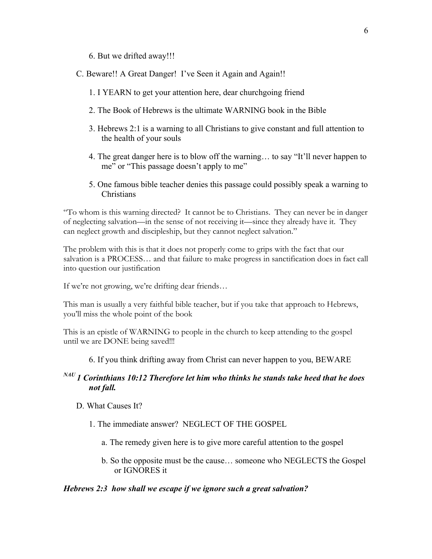- 6. But we drifted away!!!
- C. Beware!! A Great Danger! I've Seen it Again and Again!!
	- 1. I YEARN to get your attention here, dear churchgoing friend
	- 2. The Book of Hebrews is the ultimate WARNING book in the Bible
	- 3. Hebrews 2:1 is a warning to all Christians to give constant and full attention to the health of your souls
	- 4. The great danger here is to blow off the warning… to say "It'll never happen to me" or "This passage doesn't apply to me"
	- 5. One famous bible teacher denies this passage could possibly speak a warning to **Christians**

"To whom is this warning directed? It cannot be to Christians. They can never be in danger of neglecting salvation—in the sense of not receiving it—since they already have it. They can neglect growth and discipleship, but they cannot neglect salvation."

The problem with this is that it does not properly come to grips with the fact that our salvation is a PROCESS… and that failure to make progress in sanctification does in fact call into question our justification

If we're not growing, we're drifting dear friends…

This man is usually a very faithful bible teacher, but if you take that approach to Hebrews, you'll miss the whole point of the book

This is an epistle of WARNING to people in the church to keep attending to the gospel until we are DONE being saved!!!

6. If you think drifting away from Christ can never happen to you, BEWARE

# *NAU 1 Corinthians 10:12 Therefore let him who thinks he stands take heed that he does not fall.*

- D. What Causes It?
	- 1. The immediate answer? NEGLECT OF THE GOSPEL
		- a. The remedy given here is to give more careful attention to the gospel
		- b. So the opposite must be the cause… someone who NEGLECTS the Gospel or IGNORES it

#### *Hebrews 2:3 how shall we escape if we ignore such a great salvation?*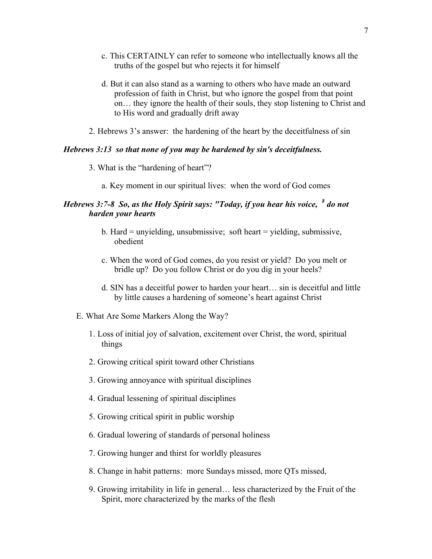- c. This CERTAINLY can refer to someone who intellectually knows all the truths of the gospel but who rejects it for himself
- d. But it can also stand as a warning to others who have made an outward profession of faith in Christ, but who ignore the gospel from that point on… they ignore the health of their souls, they stop listening to Christ and to His word and gradually drift away
- 2. Hebrews 3's answer: the hardening of the heart by the deceitfulness of sin

#### *Hebrews 3:13 so that none of you may be hardened by sin's deceitfulness.*

- 3. What is the "hardening of heart"?
	- a. Key moment in our spiritual lives: when the word of God comes

# *Hebrews 3:7-8 So, as the Holy Spirit says: "Today, if you hear his voice, <sup>8</sup> do not harden your hearts*

- b. Hard = unyielding, unsubmissive; soft heart = yielding, submissive, obedient
- c. When the word of God comes, do you resist or yield? Do you melt or bridle up? Do you follow Christ or do you dig in your heels?
- d. SIN has a deceitful power to harden your heart… sin is deceitful and little by little causes a hardening of someone's heart against Christ
- E. What Are Some Markers Along the Way?
	- 1. Loss of initial joy of salvation, excitement over Christ, the word, spiritual things
	- 2. Growing critical spirit toward other Christians
	- 3. Growing annoyance with spiritual disciplines
	- 4. Gradual lessening of spiritual disciplines
	- 5. Growing critical spirit in public worship
	- 6. Gradual lowering of standards of personal holiness
	- 7. Growing hunger and thirst for worldly pleasures
	- 8. Change in habit patterns: more Sundays missed, more QTs missed,
	- 9. Growing irritability in life in general… less characterized by the Fruit of the Spirit, more characterized by the marks of the flesh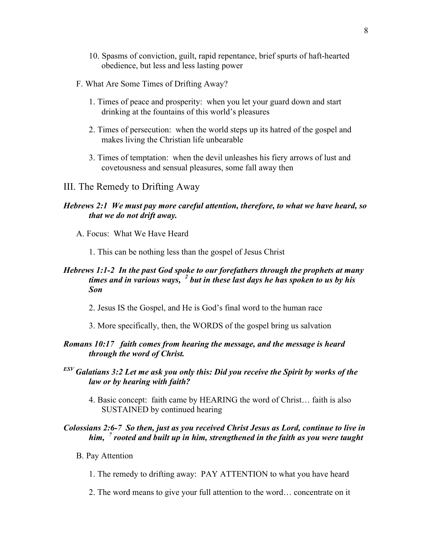- 10. Spasms of conviction, guilt, rapid repentance, brief spurts of haft-hearted obedience, but less and less lasting power
- F. What Are Some Times of Drifting Away?
	- 1. Times of peace and prosperity: when you let your guard down and start drinking at the fountains of this world's pleasures
	- 2. Times of persecution: when the world steps up its hatred of the gospel and makes living the Christian life unbearable
	- 3. Times of temptation: when the devil unleashes his fiery arrows of lust and covetousness and sensual pleasures, some fall away then

#### III. The Remedy to Drifting Away

## *Hebrews 2:1 We must pay more careful attention, therefore, to what we have heard, so that we do not drift away.*

- A. Focus: What We Have Heard
	- 1. This can be nothing less than the gospel of Jesus Christ

# *Hebrews 1:1-2 In the past God spoke to our forefathers through the prophets at many times and in various ways, <sup>2</sup> but in these last days he has spoken to us by his Son*

- 2. Jesus IS the Gospel, and He is God's final word to the human race
- 3. More specifically, then, the WORDS of the gospel bring us salvation

#### *Romans 10:17 faith comes from hearing the message, and the message is heard through the word of Christ.*

- *ESV Galatians 3:2 Let me ask you only this: Did you receive the Spirit by works of the law or by hearing with faith?*
	- 4. Basic concept: faith came by HEARING the word of Christ… faith is also SUSTAINED by continued hearing

## *Colossians 2:6-7 So then, just as you received Christ Jesus as Lord, continue to live in him, <sup>7</sup> rooted and built up in him, strengthened in the faith as you were taught*

- B. Pay Attention
	- 1. The remedy to drifting away: PAY ATTENTION to what you have heard
	- 2. The word means to give your full attention to the word… concentrate on it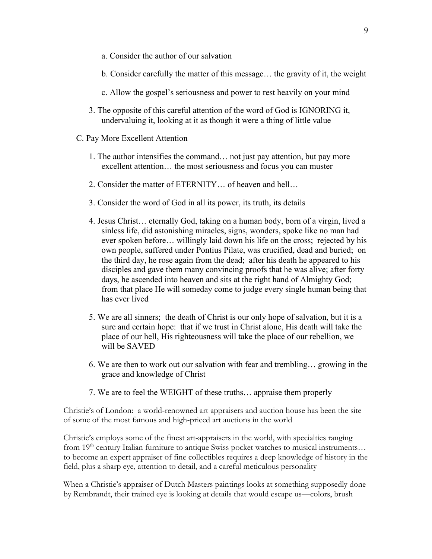- a. Consider the author of our salvation
- b. Consider carefully the matter of this message… the gravity of it, the weight
- c. Allow the gospel's seriousness and power to rest heavily on your mind
- 3. The opposite of this careful attention of the word of God is IGNORING it, undervaluing it, looking at it as though it were a thing of little value
- C. Pay More Excellent Attention
	- 1. The author intensifies the command… not just pay attention, but pay more excellent attention… the most seriousness and focus you can muster
	- 2. Consider the matter of ETERNITY… of heaven and hell…
	- 3. Consider the word of God in all its power, its truth, its details
	- 4. Jesus Christ… eternally God, taking on a human body, born of a virgin, lived a sinless life, did astonishing miracles, signs, wonders, spoke like no man had ever spoken before… willingly laid down his life on the cross; rejected by his own people, suffered under Pontius Pilate, was crucified, dead and buried; on the third day, he rose again from the dead; after his death he appeared to his disciples and gave them many convincing proofs that he was alive; after forty days, he ascended into heaven and sits at the right hand of Almighty God; from that place He will someday come to judge every single human being that has ever lived
	- 5. We are all sinners; the death of Christ is our only hope of salvation, but it is a sure and certain hope: that if we trust in Christ alone, His death will take the place of our hell, His righteousness will take the place of our rebellion, we will be SAVED
	- 6. We are then to work out our salvation with fear and trembling… growing in the grace and knowledge of Christ
	- 7. We are to feel the WEIGHT of these truths… appraise them properly

Christie's of London: a world-renowned art appraisers and auction house has been the site of some of the most famous and high-priced art auctions in the world

Christie's employs some of the finest art-appraisers in the world, with specialties ranging from  $19<sup>th</sup>$  century Italian furniture to antique Swiss pocket watches to musical instruments... to become an expert appraiser of fine collectibles requires a deep knowledge of history in the field, plus a sharp eye, attention to detail, and a careful meticulous personality

When a Christie's appraiser of Dutch Masters paintings looks at something supposedly done by Rembrandt, their trained eye is looking at details that would escape us—colors, brush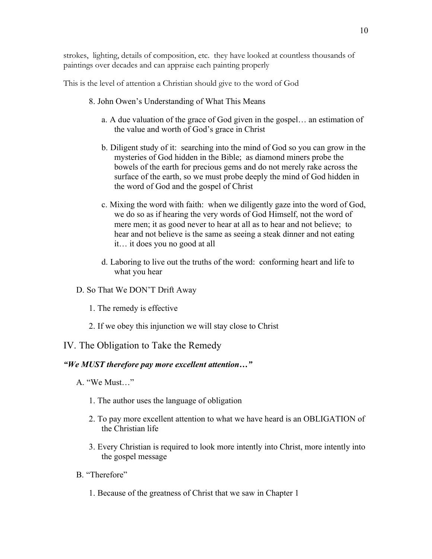strokes, lighting, details of composition, etc. they have looked at countless thousands of paintings over decades and can appraise each painting properly

This is the level of attention a Christian should give to the word of God

- 8. John Owen's Understanding of What This Means
	- a. A due valuation of the grace of God given in the gospel… an estimation of the value and worth of God's grace in Christ
	- b. Diligent study of it: searching into the mind of God so you can grow in the mysteries of God hidden in the Bible; as diamond miners probe the bowels of the earth for precious gems and do not merely rake across the surface of the earth, so we must probe deeply the mind of God hidden in the word of God and the gospel of Christ
	- c. Mixing the word with faith: when we diligently gaze into the word of God, we do so as if hearing the very words of God Himself, not the word of mere men; it as good never to hear at all as to hear and not believe; to hear and not believe is the same as seeing a steak dinner and not eating it… it does you no good at all
	- d. Laboring to live out the truths of the word: conforming heart and life to what you hear
- D. So That We DON'T Drift Away
	- 1. The remedy is effective
	- 2. If we obey this injunction we will stay close to Christ

# IV. The Obligation to Take the Remedy

# *"We MUST therefore pay more excellent attention…"*

- A. "We Must…"
	- 1. The author uses the language of obligation
	- 2. To pay more excellent attention to what we have heard is an OBLIGATION of the Christian life
	- 3. Every Christian is required to look more intently into Christ, more intently into the gospel message
- B. "Therefore"
	- 1. Because of the greatness of Christ that we saw in Chapter 1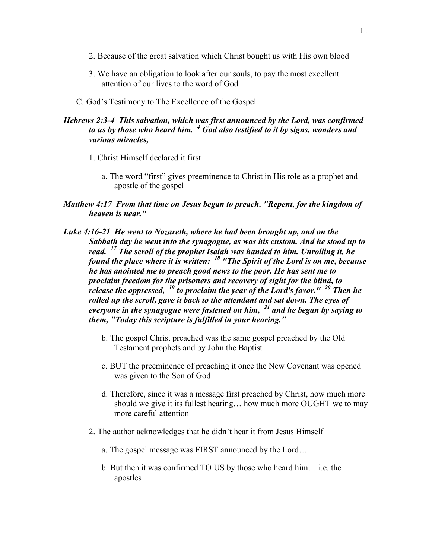- 2. Because of the great salvation which Christ bought us with His own blood
- 3. We have an obligation to look after our souls, to pay the most excellent attention of our lives to the word of God
- C. God's Testimony to The Excellence of the Gospel

#### *Hebrews 2:3-4 This salvation, which was first announced by the Lord, was confirmed to us by those who heard him. <sup>4</sup> God also testified to it by signs, wonders and various miracles,*

- 1. Christ Himself declared it first
	- a. The word "first" gives preeminence to Christ in His role as a prophet and apostle of the gospel
- *Matthew 4:17 From that time on Jesus began to preach, "Repent, for the kingdom of heaven is near."*
- *Luke 4:16-21 He went to Nazareth, where he had been brought up, and on the Sabbath day he went into the synagogue, as was his custom. And he stood up to read. <sup>17</sup> The scroll of the prophet Isaiah was handed to him. Unrolling it, he found the place where it is written: <sup>18</sup> "The Spirit of the Lord is on me, because he has anointed me to preach good news to the poor. He has sent me to proclaim freedom for the prisoners and recovery of sight for the blind, to release the oppressed, <sup>19</sup> to proclaim the year of the Lord's favor." <sup>20</sup> Then he rolled up the scroll, gave it back to the attendant and sat down. The eyes of everyone in the synagogue were fastened on him, <sup>21</sup> and he began by saying to them, "Today this scripture is fulfilled in your hearing."*
	- b. The gospel Christ preached was the same gospel preached by the Old Testament prophets and by John the Baptist
	- c. BUT the preeminence of preaching it once the New Covenant was opened was given to the Son of God
	- d. Therefore, since it was a message first preached by Christ, how much more should we give it its fullest hearing… how much more OUGHT we to may more careful attention
	- 2. The author acknowledges that he didn't hear it from Jesus Himself
		- a. The gospel message was FIRST announced by the Lord…
		- b. But then it was confirmed TO US by those who heard him… i.e. the apostles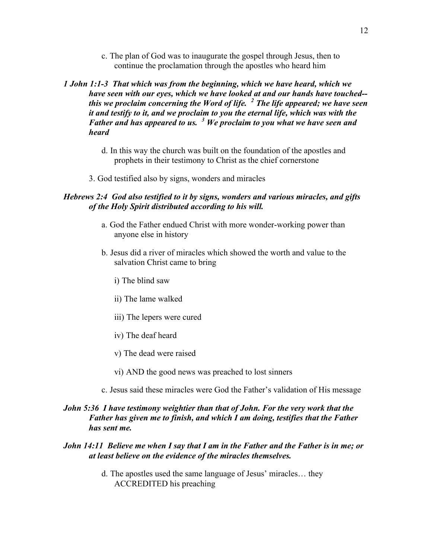c. The plan of God was to inaugurate the gospel through Jesus, then to continue the proclamation through the apostles who heard him

# *1 John 1:1-3 That which was from the beginning, which we have heard, which we have seen with our eyes, which we have looked at and our hands have touched- this we proclaim concerning the Word of life. <sup>2</sup> The life appeared; we have seen it and testify to it, and we proclaim to you the eternal life, which was with the Father and has appeared to us. <sup>3</sup> We proclaim to you what we have seen and heard*

- d. In this way the church was built on the foundation of the apostles and prophets in their testimony to Christ as the chief cornerstone
- 3. God testified also by signs, wonders and miracles

### *Hebrews 2:4 God also testified to it by signs, wonders and various miracles, and gifts of the Holy Spirit distributed according to his will.*

- a. God the Father endued Christ with more wonder-working power than anyone else in history
- b. Jesus did a river of miracles which showed the worth and value to the salvation Christ came to bring
	- i) The blind saw
	- ii) The lame walked
	- iii) The lepers were cured
	- iv) The deaf heard
	- v) The dead were raised
	- vi) AND the good news was preached to lost sinners
- c. Jesus said these miracles were God the Father's validation of His message

## *John 5:36 I have testimony weightier than that of John. For the very work that the Father has given me to finish, and which I am doing, testifies that the Father has sent me.*

#### *John 14:11 Believe me when I say that I am in the Father and the Father is in me; or at least believe on the evidence of the miracles themselves.*

d. The apostles used the same language of Jesus' miracles… they ACCREDITED his preaching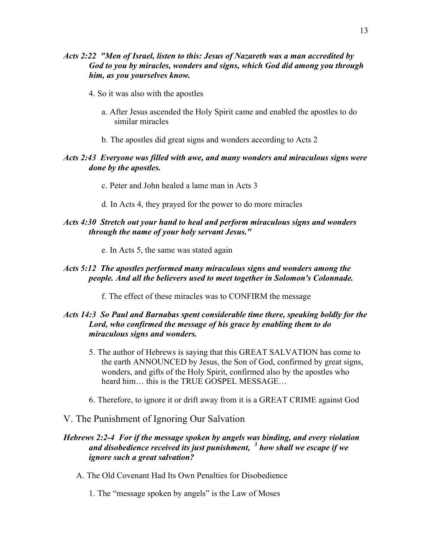- 4. So it was also with the apostles
	- a. After Jesus ascended the Holy Spirit came and enabled the apostles to do similar miracles
	- b. The apostles did great signs and wonders according to Acts 2

# *Acts 2:43 Everyone was filled with awe, and many wonders and miraculous signs were done by the apostles.*

- c. Peter and John healed a lame man in Acts 3
- d. In Acts 4, they prayed for the power to do more miracles

# *Acts 4:30 Stretch out your hand to heal and perform miraculous signs and wonders through the name of your holy servant Jesus."*

e. In Acts 5, the same was stated again

# *Acts 5:12 The apostles performed many miraculous signs and wonders among the people. And all the believers used to meet together in Solomon's Colonnade.*

f. The effect of these miracles was to CONFIRM the message

# *Acts 14:3 So Paul and Barnabas spent considerable time there, speaking boldly for the Lord, who confirmed the message of his grace by enabling them to do miraculous signs and wonders.*

- 5. The author of Hebrews is saying that this GREAT SALVATION has come to the earth ANNOUNCED by Jesus, the Son of God, confirmed by great signs, wonders, and gifts of the Holy Spirit, confirmed also by the apostles who heard him… this is the TRUE GOSPEL MESSAGE…
- 6. Therefore, to ignore it or drift away from it is a GREAT CRIME against God
- V. The Punishment of Ignoring Our Salvation

# *Hebrews 2:2-4 For if the message spoken by angels was binding, and every violation and disobedience received its just punishment, <sup>3</sup> how shall we escape if we ignore such a great salvation?*

- A. The Old Covenant Had Its Own Penalties for Disobedience
	- 1. The "message spoken by angels" is the Law of Moses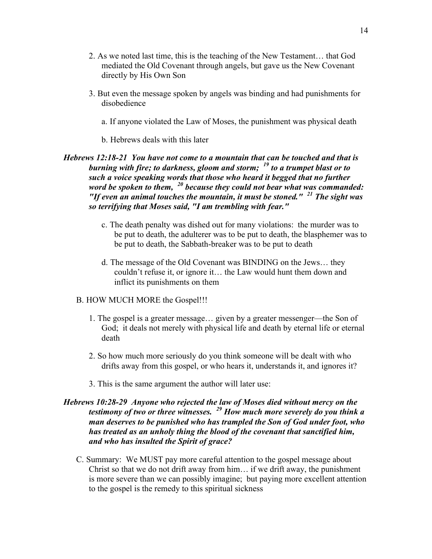- 2. As we noted last time, this is the teaching of the New Testament… that God mediated the Old Covenant through angels, but gave us the New Covenant directly by His Own Son
- 3. But even the message spoken by angels was binding and had punishments for disobedience
	- a. If anyone violated the Law of Moses, the punishment was physical death
	- b. Hebrews deals with this later

# *Hebrews 12:18-21 You have not come to a mountain that can be touched and that is burning with fire; to darkness, gloom and storm; <sup>19</sup> to a trumpet blast or to such a voice speaking words that those who heard it begged that no further word be spoken to them, <sup>20</sup> because they could not bear what was commanded: "If even an animal touches the mountain, it must be stoned." <sup>21</sup> The sight was so terrifying that Moses said, "I am trembling with fear."*

- c. The death penalty was dished out for many violations: the murder was to be put to death, the adulterer was to be put to death, the blasphemer was to be put to death, the Sabbath-breaker was to be put to death
- d. The message of the Old Covenant was BINDING on the Jews… they couldn't refuse it, or ignore it… the Law would hunt them down and inflict its punishments on them

#### B. HOW MUCH MORE the Gospel!!!

- 1. The gospel is a greater message… given by a greater messenger—the Son of God; it deals not merely with physical life and death by eternal life or eternal death
- 2. So how much more seriously do you think someone will be dealt with who drifts away from this gospel, or who hears it, understands it, and ignores it?
- 3. This is the same argument the author will later use:

# *Hebrews 10:28-29 Anyone who rejected the law of Moses died without mercy on the testimony of two or three witnesses. <sup>29</sup> How much more severely do you think a man deserves to be punished who has trampled the Son of God under foot, who has treated as an unholy thing the blood of the covenant that sanctified him, and who has insulted the Spirit of grace?*

C. Summary: We MUST pay more careful attention to the gospel message about Christ so that we do not drift away from him… if we drift away, the punishment is more severe than we can possibly imagine; but paying more excellent attention to the gospel is the remedy to this spiritual sickness